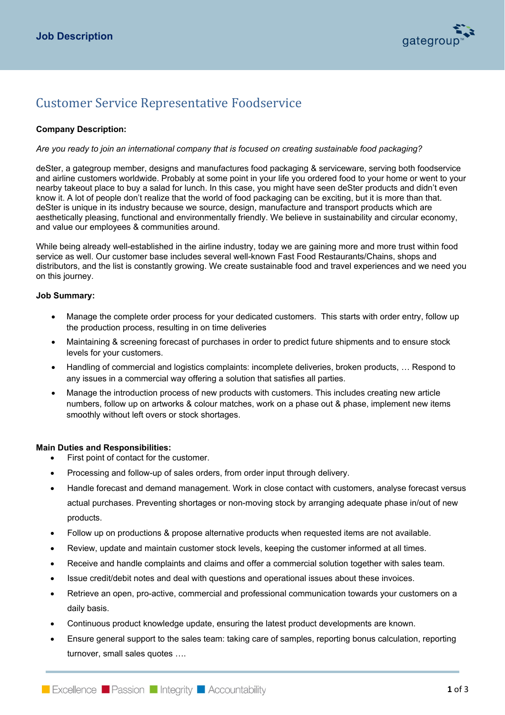

# Customer Service Representative Foodservice

## **Company Description:**

#### *Are you ready to join an international company that is focused on creating sustainable food packaging?*

deSter, a gategroup member, designs and manufactures food packaging & serviceware, serving both foodservice and airline customers worldwide. Probably at some point in your life you ordered food to your home or went to your nearby takeout place to buy a salad for lunch. In this case, you might have seen deSter products and didn't even know it. A lot of people don't realize that the world of food packaging can be exciting, but it is more than that. deSter is unique in its industry because we source, design, manufacture and transport products which are aesthetically pleasing, functional and environmentally friendly. We believe in sustainability and circular economy, and value our employees & communities around.

While being already well-established in the airline industry, today we are gaining more and more trust within food service as well. Our customer base includes several well-known Fast Food Restaurants/Chains, shops and distributors, and the list is constantly growing. We create sustainable food and travel experiences and we need you on this journey.

## **Job Summary:**

- Manage the complete order process for your dedicated customers. This starts with order entry, follow up the production process, resulting in on time deliveries
- Maintaining & screening forecast of purchases in order to predict future shipments and to ensure stock levels for your customers.
- Handling of commercial and logistics complaints: incomplete deliveries, broken products, … Respond to any issues in a commercial way offering a solution that satisfies all parties.
- Manage the introduction process of new products with customers. This includes creating new article numbers, follow up on artworks & colour matches, work on a phase out & phase, implement new items smoothly without left overs or stock shortages.

## **Main Duties and Responsibilities:**

- First point of contact for the customer.
- Processing and follow-up of sales orders, from order input through delivery.
- Handle forecast and demand management. Work in close contact with customers, analyse forecast versus actual purchases. Preventing shortages or non-moving stock by arranging adequate phase in/out of new products.
- Follow up on productions & propose alternative products when requested items are not available.
- Review, update and maintain customer stock levels, keeping the customer informed at all times.
- Receive and handle complaints and claims and offer a commercial solution together with sales team.
- Issue credit/debit notes and deal with questions and operational issues about these invoices.
- Retrieve an open, pro-active, commercial and professional communication towards your customers on a daily basis.
- Continuous product knowledge update, ensuring the latest product developments are known.
- Ensure general support to the sales team: taking care of samples, reporting bonus calculation, reporting turnover, small sales quotes ….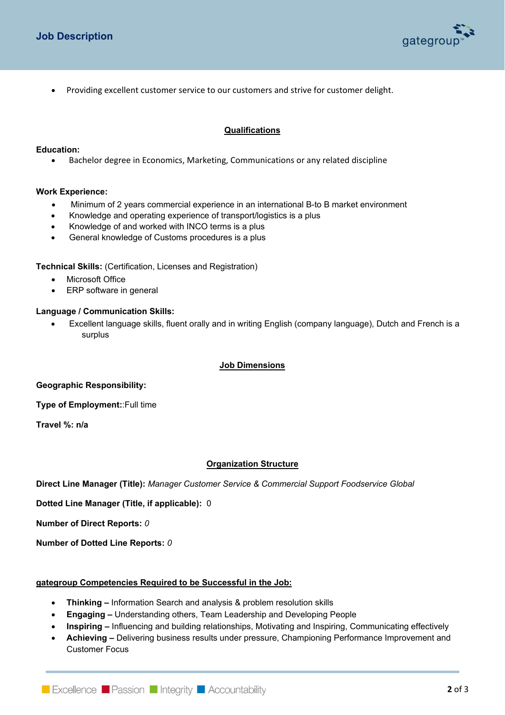

• Providing excellent customer service to our customers and strive for customer delight.

# **Qualifications**

## **Education:**

• Bachelor degree in Economics, Marketing, Communications or any related discipline

## **Work Experience:**

- Minimum of 2 years commercial experience in an international B-to B market environment
- Knowledge and operating experience of transport/logistics is a plus
- Knowledge of and worked with INCO terms is a plus
- General knowledge of Customs procedures is a plus

**Technical Skills:** (Certification, Licenses and Registration)

- Microsoft Office
- ERP software in general

## **Language / Communication Skills:**

• Excellent language skills, fluent orally and in writing English (company language), Dutch and French is a surplus

## **Job Dimensions**

## **Geographic Responsibility:**

**Type of Employment:**:Full time

**Travel %: n/a**

## **Organization Structure**

**Direct Line Manager (Title):** *Manager Customer Service & Commercial Support Foodservice Global*

**Dotted Line Manager (Title, if applicable):** 0

**Number of Direct Reports:** *0*

**Number of Dotted Line Reports:** *0*

#### **gategroup Competencies Required to be Successful in the Job:**

- **Thinking –** Information Search and analysis & problem resolution skills
- **Engaging –** Understanding others, Team Leadership and Developing People
- **Inspiring –** Influencing and building relationships, Motivating and Inspiring, Communicating effectively
- **Achieving –** Delivering business results under pressure, Championing Performance Improvement and Customer Focus